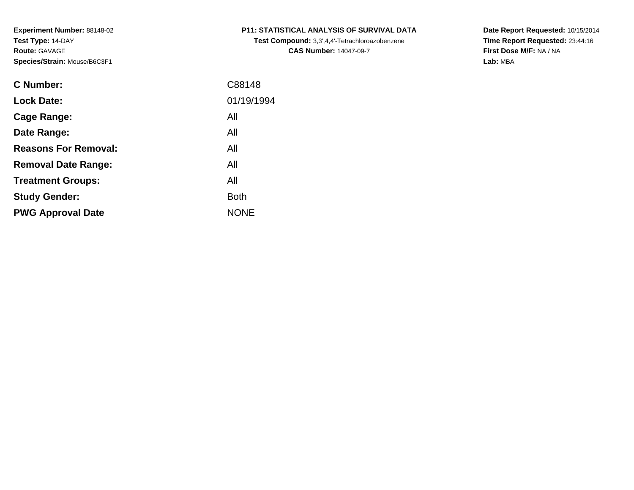| <b>C Number:</b>            | C88148      |
|-----------------------------|-------------|
| <b>Lock Date:</b>           | 01/19/1994  |
| <b>Cage Range:</b>          | All         |
| Date Range:                 | All         |
| <b>Reasons For Removal:</b> | All         |
| <b>Removal Date Range:</b>  | All         |
| <b>Treatment Groups:</b>    | All         |
| <b>Study Gender:</b>        | <b>Both</b> |
| <b>PWG Approval Date</b>    | <b>NONE</b> |
|                             |             |

# **P11: STATISTICAL ANALYSIS OF SURVIVAL DATA**

**Test Compound:** 3,3',4,4'-Tetrachloroazobenzene**CAS Number:** 14047-09-7

**Date Report Requested:** 10/15/2014 **Time Report Requested:** 23:44:16**First Dose M/F:** NA / NA**Lab:** MBA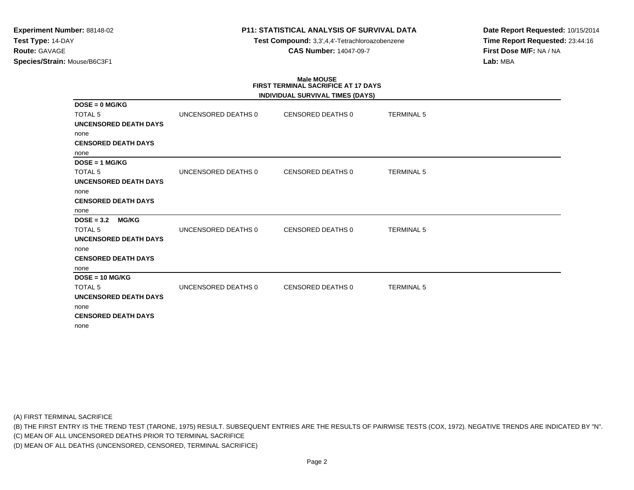# **P11: STATISTICAL ANALYSIS OF SURVIVAL DATA**

**Test Compound:** 3,3',4,4'-Tetrachloroazobenzene**CAS Number:** 14047-09-7

**Date Report Requested:** 10/15/2014**Time Report Requested:** 23:44:16**First Dose M/F:** NA / NA**Lab:** MBA

# **Male MOUSEFIRST TERMINAL SACRIFICE AT 17 DAYS**

|                              |                     | INDIVIDUAL SURVIVAL TIMES (DAYS) |                   |  |
|------------------------------|---------------------|----------------------------------|-------------------|--|
| $DOSE = 0$ MG/KG             |                     |                                  |                   |  |
| <b>TOTAL 5</b>               | UNCENSORED DEATHS 0 | CENSORED DEATHS 0                | <b>TERMINAL 5</b> |  |
| <b>UNCENSORED DEATH DAYS</b> |                     |                                  |                   |  |
| none                         |                     |                                  |                   |  |
| <b>CENSORED DEATH DAYS</b>   |                     |                                  |                   |  |
| none                         |                     |                                  |                   |  |
| $DOSE = 1 MG/KG$             |                     |                                  |                   |  |
| <b>TOTAL 5</b>               | UNCENSORED DEATHS 0 | CENSORED DEATHS 0                | <b>TERMINAL 5</b> |  |
| <b>UNCENSORED DEATH DAYS</b> |                     |                                  |                   |  |
| none                         |                     |                                  |                   |  |
| <b>CENSORED DEATH DAYS</b>   |                     |                                  |                   |  |
| none                         |                     |                                  |                   |  |
| $DOSE = 3.2$<br><b>MG/KG</b> |                     |                                  |                   |  |
| <b>TOTAL 5</b>               | UNCENSORED DEATHS 0 | <b>CENSORED DEATHS 0</b>         | <b>TERMINAL 5</b> |  |
| <b>UNCENSORED DEATH DAYS</b> |                     |                                  |                   |  |
| none                         |                     |                                  |                   |  |
| <b>CENSORED DEATH DAYS</b>   |                     |                                  |                   |  |
| none                         |                     |                                  |                   |  |
| $DOSE = 10 MGIKG$            |                     |                                  |                   |  |
| <b>TOTAL 5</b>               | UNCENSORED DEATHS 0 | CENSORED DEATHS 0                | <b>TERMINAL 5</b> |  |
| <b>UNCENSORED DEATH DAYS</b> |                     |                                  |                   |  |
| none                         |                     |                                  |                   |  |
| <b>CENSORED DEATH DAYS</b>   |                     |                                  |                   |  |
| none                         |                     |                                  |                   |  |

(A) FIRST TERMINAL SACRIFICE

(B) THE FIRST ENTRY IS THE TREND TEST (TARONE, 1975) RESULT. SUBSEQUENT ENTRIES ARE THE RESULTS OF PAIRWISE TESTS (COX, 1972). NEGATIVE TRENDS ARE INDICATED BY "N".

(C) MEAN OF ALL UNCENSORED DEATHS PRIOR TO TERMINAL SACRIFICE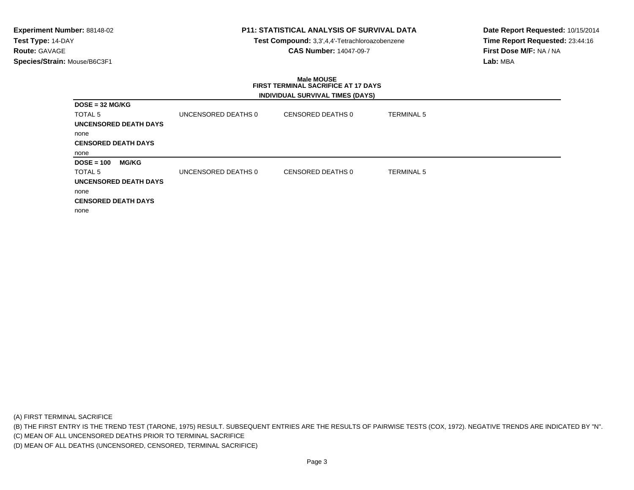# **P11: STATISTICAL ANALYSIS OF SURVIVAL DATA**

**Test Compound:** 3,3',4,4'-Tetrachloroazobenzene**CAS Number:** 14047-09-7

**Date Report Requested:** 10/15/2014**Time Report Requested:** 23:44:16**First Dose M/F:** NA / NA**Lab:** MBA

### **Male MOUSE FIRST TERMINAL SACRIFICE AT 17 DAYSINDIVIDUAL SURVIVAL TIMES (DAYS)**

| $DOSE = 32 MGI/KG$           |                     |                   |                   |
|------------------------------|---------------------|-------------------|-------------------|
| <b>TOTAL 5</b>               | UNCENSORED DEATHS 0 | CENSORED DEATHS 0 | <b>TERMINAL 5</b> |
| <b>UNCENSORED DEATH DAYS</b> |                     |                   |                   |
| none                         |                     |                   |                   |
| <b>CENSORED DEATH DAYS</b>   |                     |                   |                   |
| none                         |                     |                   |                   |
| $DOSE = 100$<br><b>MG/KG</b> |                     |                   |                   |
| TOTAL 5                      | UNCENSORED DEATHS 0 | CENSORED DEATHS 0 | <b>TERMINAL 5</b> |
| <b>UNCENSORED DEATH DAYS</b> |                     |                   |                   |
| none                         |                     |                   |                   |
| <b>CENSORED DEATH DAYS</b>   |                     |                   |                   |
| none                         |                     |                   |                   |

(A) FIRST TERMINAL SACRIFICE

(B) THE FIRST ENTRY IS THE TREND TEST (TARONE, 1975) RESULT. SUBSEQUENT ENTRIES ARE THE RESULTS OF PAIRWISE TESTS (COX, 1972). NEGATIVE TRENDS ARE INDICATED BY "N".

(C) MEAN OF ALL UNCENSORED DEATHS PRIOR TO TERMINAL SACRIFICE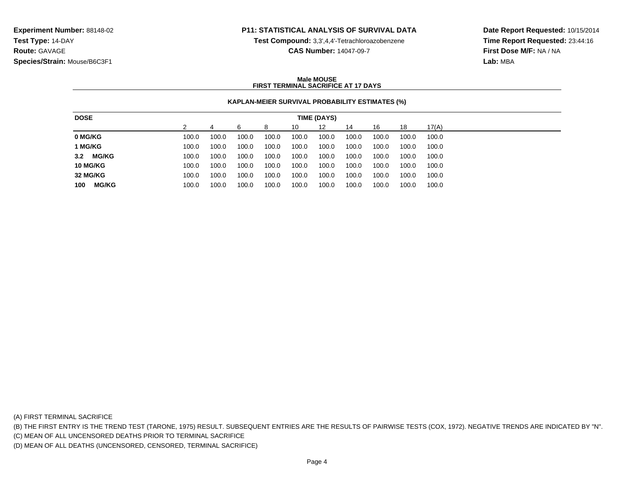### **P11: STATISTICAL ANALYSIS OF SURVIVAL DATA**

**Test Compound:** 3,3',4,4'-Tetrachloroazobenzene

**CAS Number:** 14047-09-7

**Date Report Requested:** 10/15/2014**Time Report Requested:** 23:44:16**First Dose M/F:** NA / NA**Lab:** MBA

### **Male MOUSEFIRST TERMINAL SACRIFICE AT 17 DAYS**

### **KAPLAN-MEIER SURVIVAL PROBABILITY ESTIMATES (%)**

| <b>DOSE</b>         |       |       |       |       |       | TIME (DAYS) |       |       |       |       |
|---------------------|-------|-------|-------|-------|-------|-------------|-------|-------|-------|-------|
|                     |       |       | ี     | 8     | 10    | 12          | 14    | 16    | 18    | 17(A) |
| 0 MG/KG             | 100.0 | 100.0 | 100.0 | 100.0 | 100.0 | 100.0       | 100.0 | 100.0 | 100.0 | 100.0 |
| 1 MG/KG             | 100.0 | 100.0 | 100.0 | 100.0 | 100.0 | 100.0       | 100.0 | 100.0 | 100.0 | 100.0 |
| <b>MG/KG</b><br>3.2 | 100.0 | 100.0 | 100.0 | 100.0 | 100.0 | 100.0       | 100.0 | 100.0 | 100.0 | 100.0 |
| <b>10 MG/KG</b>     | 100.0 | 100.0 | 100.0 | 100.0 | 100.0 | 100.0       | 100.0 | 100.0 | 100.0 | 100.0 |
| 32 MG/KG            | 100.0 | 100.0 | 100.0 | 100.0 | 100.0 | 100.0       | 100.0 | 100.0 | 100.0 | 100.0 |
| <b>MG/KG</b><br>100 | 100.0 | 100.0 | 100.0 | 100.0 | 100.0 | 100.0       | 100.0 | 100.0 | 100.0 | 100.0 |

(A) FIRST TERMINAL SACRIFICE

(B) THE FIRST ENTRY IS THE TREND TEST (TARONE, 1975) RESULT. SUBSEQUENT ENTRIES ARE THE RESULTS OF PAIRWISE TESTS (COX, 1972). NEGATIVE TRENDS ARE INDICATED BY "N".

(C) MEAN OF ALL UNCENSORED DEATHS PRIOR TO TERMINAL SACRIFICE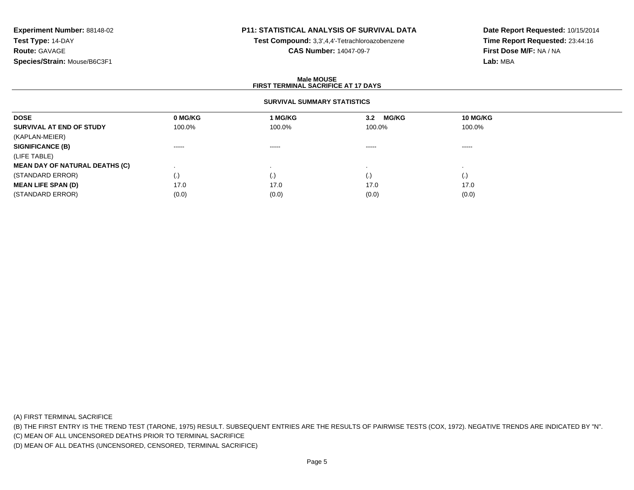# **P11: STATISTICAL ANALYSIS OF SURVIVAL DATA**

**Test Compound:** 3,3',4,4'-Tetrachloroazobenzene

**CAS Number:** 14047-09-7

**Date Report Requested:** 10/15/2014**Time Report Requested:** 23:44:16**First Dose M/F:** NA / NA**Lab:** MBA

### **Male MOUSEFIRST TERMINAL SACRIFICE AT 17 DAYS**

### **SURVIVAL SUMMARY STATISTICS**

| <b>DOSE</b>                           | 0 MG/KG | 1 MG/KG  | <b>MG/KG</b><br>3.2 | 10 MG/KG |  |
|---------------------------------------|---------|----------|---------------------|----------|--|
| SURVIVAL AT END OF STUDY              | 100.0%  | 100.0%   | 100.0%              | 100.0%   |  |
| (KAPLAN-MEIER)                        |         |          |                     |          |  |
| <b>SIGNIFICANCE (B)</b>               | ------  | $\cdots$ | -----               | ------   |  |
| (LIFE TABLE)                          |         |          |                     |          |  |
| <b>MEAN DAY OF NATURAL DEATHS (C)</b> |         |          |                     |          |  |
| (STANDARD ERROR)                      | (.)     |          | (.)                 | (.)      |  |
| <b>MEAN LIFE SPAN (D)</b>             | 17.0    | 17.0     | 17.0                | 17.0     |  |
| (STANDARD ERROR)                      | (0.0)   | (0.0)    | (0.0)               | (0.0)    |  |

(A) FIRST TERMINAL SACRIFICE

(B) THE FIRST ENTRY IS THE TREND TEST (TARONE, 1975) RESULT. SUBSEQUENT ENTRIES ARE THE RESULTS OF PAIRWISE TESTS (COX, 1972). NEGATIVE TRENDS ARE INDICATED BY "N".

(C) MEAN OF ALL UNCENSORED DEATHS PRIOR TO TERMINAL SACRIFICE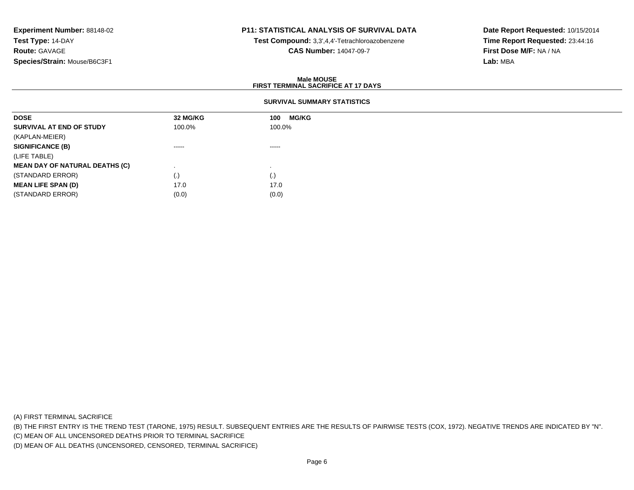# **P11: STATISTICAL ANALYSIS OF SURVIVAL DATA**

**Test Compound:** 3,3',4,4'-Tetrachloroazobenzene**CAS Number:** 14047-09-7

**Date Report Requested:** 10/15/2014**Time Report Requested:** 23:44:16**First Dose M/F:** NA / NA**Lab:** MBA

### **Male MOUSEFIRST TERMINAL SACRIFICE AT 17 DAYS**

### **SURVIVAL SUMMARY STATISTICS**

| <b>DOSE</b>                           | 32 MG/KG               | <b>MG/KG</b><br>100 |
|---------------------------------------|------------------------|---------------------|
| SURVIVAL AT END OF STUDY              | 100.0%                 | 100.0%              |
| (KAPLAN-MEIER)                        |                        |                     |
| <b>SIGNIFICANCE (B)</b>               | $\cdots$               | -----               |
| (LIFE TABLE)                          |                        |                     |
| <b>MEAN DAY OF NATURAL DEATHS (C)</b> |                        |                     |
| (STANDARD ERROR)                      | $\left( \cdot \right)$ | (.)                 |
| <b>MEAN LIFE SPAN (D)</b>             | 17.0                   | 17.0                |
| (STANDARD ERROR)                      | (0.0)                  | (0.0)               |

(A) FIRST TERMINAL SACRIFICE

(B) THE FIRST ENTRY IS THE TREND TEST (TARONE, 1975) RESULT. SUBSEQUENT ENTRIES ARE THE RESULTS OF PAIRWISE TESTS (COX, 1972). NEGATIVE TRENDS ARE INDICATED BY "N".

(C) MEAN OF ALL UNCENSORED DEATHS PRIOR TO TERMINAL SACRIFICE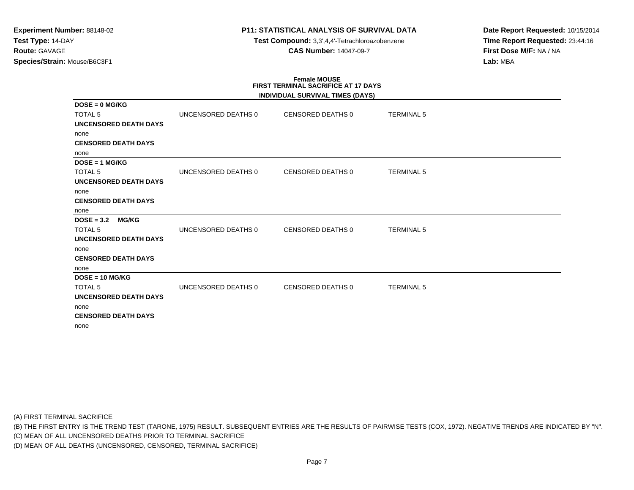# **P11: STATISTICAL ANALYSIS OF SURVIVAL DATA**

**Test Compound:** 3,3',4,4'-Tetrachloroazobenzene**CAS Number:** 14047-09-7

**Date Report Requested:** 10/15/2014**Time Report Requested:** 23:44:16**First Dose M/F:** NA / NA**Lab:** MBA

# **Female MOUSE FIRST TERMINAL SACRIFICE AT 17 DAYS**

|                              |                     | INDIVIDUAL SURVIVAL TIMES (DAYS) |                   |  |
|------------------------------|---------------------|----------------------------------|-------------------|--|
| $DOSE = 0$ MG/KG             |                     |                                  |                   |  |
| <b>TOTAL 5</b>               | UNCENSORED DEATHS 0 | CENSORED DEATHS 0                | <b>TERMINAL 5</b> |  |
| <b>UNCENSORED DEATH DAYS</b> |                     |                                  |                   |  |
| none                         |                     |                                  |                   |  |
| <b>CENSORED DEATH DAYS</b>   |                     |                                  |                   |  |
| none                         |                     |                                  |                   |  |
| $DOSE = 1 MG/KG$             |                     |                                  |                   |  |
| <b>TOTAL 5</b>               | UNCENSORED DEATHS 0 | <b>CENSORED DEATHS 0</b>         | <b>TERMINAL 5</b> |  |
| <b>UNCENSORED DEATH DAYS</b> |                     |                                  |                   |  |
| none                         |                     |                                  |                   |  |
| <b>CENSORED DEATH DAYS</b>   |                     |                                  |                   |  |
| none                         |                     |                                  |                   |  |
| $DOSE = 3.2$<br><b>MG/KG</b> |                     |                                  |                   |  |
| <b>TOTAL 5</b>               | UNCENSORED DEATHS 0 | <b>CENSORED DEATHS 0</b>         | <b>TERMINAL 5</b> |  |
| <b>UNCENSORED DEATH DAYS</b> |                     |                                  |                   |  |
| none                         |                     |                                  |                   |  |
| <b>CENSORED DEATH DAYS</b>   |                     |                                  |                   |  |
| none                         |                     |                                  |                   |  |
| $DOSE = 10 MGIKG$            |                     |                                  |                   |  |
| <b>TOTAL 5</b>               | UNCENSORED DEATHS 0 | <b>CENSORED DEATHS 0</b>         | <b>TERMINAL 5</b> |  |
| <b>UNCENSORED DEATH DAYS</b> |                     |                                  |                   |  |
| none                         |                     |                                  |                   |  |
| <b>CENSORED DEATH DAYS</b>   |                     |                                  |                   |  |
| none                         |                     |                                  |                   |  |

(A) FIRST TERMINAL SACRIFICE

(B) THE FIRST ENTRY IS THE TREND TEST (TARONE, 1975) RESULT. SUBSEQUENT ENTRIES ARE THE RESULTS OF PAIRWISE TESTS (COX, 1972). NEGATIVE TRENDS ARE INDICATED BY "N".

(C) MEAN OF ALL UNCENSORED DEATHS PRIOR TO TERMINAL SACRIFICE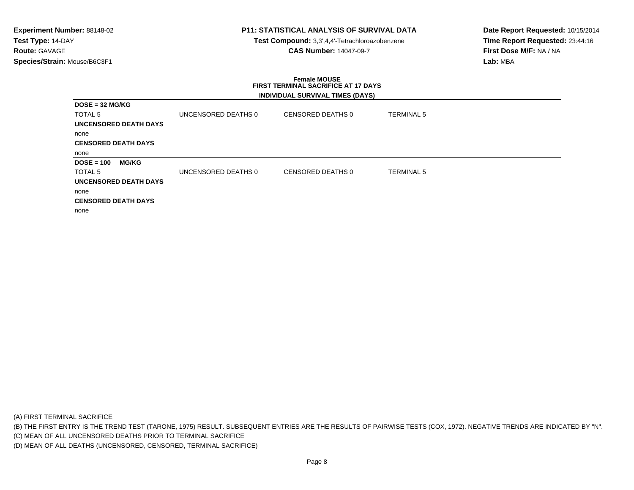# **P11: STATISTICAL ANALYSIS OF SURVIVAL DATA**

**Test Compound:** 3,3',4,4'-Tetrachloroazobenzene**CAS Number:** 14047-09-7

**Date Report Requested:** 10/15/2014**Time Report Requested:** 23:44:16**First Dose M/F:** NA / NA**Lab:** MBA

### **Female MOUSE FIRST TERMINAL SACRIFICE AT 17 DAYSINDIVIDUAL SURVIVAL TIMES (DAYS)**

| $DOSE = 32 MGI/KG$           |                     |                   |                   |
|------------------------------|---------------------|-------------------|-------------------|
| TOTAL 5                      | UNCENSORED DEATHS 0 | CENSORED DEATHS 0 | <b>TERMINAL 5</b> |
| UNCENSORED DEATH DAYS        |                     |                   |                   |
| none                         |                     |                   |                   |
| <b>CENSORED DEATH DAYS</b>   |                     |                   |                   |
| none                         |                     |                   |                   |
| $DOSE = 100$<br><b>MG/KG</b> |                     |                   |                   |
| TOTAL <sub>5</sub>           | UNCENSORED DEATHS 0 | CENSORED DEATHS 0 | <b>TERMINAL 5</b> |
| <b>UNCENSORED DEATH DAYS</b> |                     |                   |                   |
| none                         |                     |                   |                   |
| <b>CENSORED DEATH DAYS</b>   |                     |                   |                   |
| none                         |                     |                   |                   |

(A) FIRST TERMINAL SACRIFICE

(B) THE FIRST ENTRY IS THE TREND TEST (TARONE, 1975) RESULT. SUBSEQUENT ENTRIES ARE THE RESULTS OF PAIRWISE TESTS (COX, 1972). NEGATIVE TRENDS ARE INDICATED BY "N".

(C) MEAN OF ALL UNCENSORED DEATHS PRIOR TO TERMINAL SACRIFICE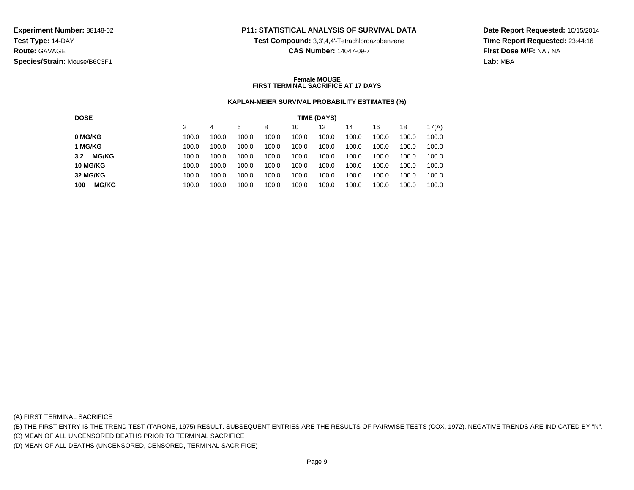### **P11: STATISTICAL ANALYSIS OF SURVIVAL DATA**

**Test Compound:** 3,3',4,4'-Tetrachloroazobenzene

**CAS Number:** 14047-09-7

**Date Report Requested:** 10/15/2014**Time Report Requested:** 23:44:16**First Dose M/F:** NA / NA**Lab:** MBA

### **Female MOUSEFIRST TERMINAL SACRIFICE AT 17 DAYS**

### **KAPLAN-MEIER SURVIVAL PROBABILITY ESTIMATES (%)**

| <b>DOSE</b>         |       |       |       |       |       | TIME (DAYS) |       |       |       |       |
|---------------------|-------|-------|-------|-------|-------|-------------|-------|-------|-------|-------|
|                     |       |       | ิค    | 8     | 10    | 12          | 14    | 16    | 18    | 17(A) |
| 0 MG/KG             | 100.0 | 100.0 | 100.0 | 100.0 | 100.0 | 100.0       | 100.0 | 100.0 | 100.0 | 100.0 |
| 1 MG/KG             | 100.0 | 100.0 | 100.0 | 100.0 | 100.0 | 100.0       | 100.0 | 100.0 | 100.0 | 100.0 |
| <b>MG/KG</b><br>3.2 | 100.0 | 100.0 | 100.0 | 100.0 | 100.0 | 100.0       | 100.0 | 100.0 | 100.0 | 100.0 |
| <b>10 MG/KG</b>     | 100.0 | 100.0 | 100.0 | 100.0 | 100.0 | 100.0       | 100.0 | 100.0 | 100.0 | 100.0 |
| 32 MG/KG            | 100.0 | 100.0 | 100.0 | 100.0 | 100.0 | 100.0       | 100.0 | 100.0 | 100.0 | 100.0 |
| <b>MG/KG</b><br>100 | 100.0 | 100.0 | 100.0 | 100.0 | 100.0 | 100.0       | 100.0 | 100.0 | 100.0 | 100.0 |

(A) FIRST TERMINAL SACRIFICE

(B) THE FIRST ENTRY IS THE TREND TEST (TARONE, 1975) RESULT. SUBSEQUENT ENTRIES ARE THE RESULTS OF PAIRWISE TESTS (COX, 1972). NEGATIVE TRENDS ARE INDICATED BY "N".

(C) MEAN OF ALL UNCENSORED DEATHS PRIOR TO TERMINAL SACRIFICE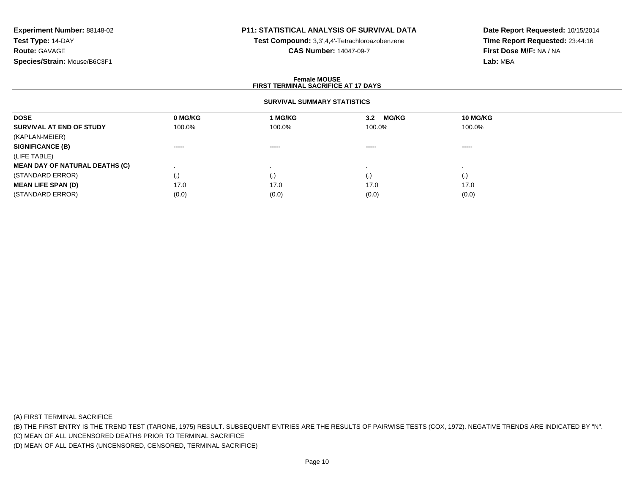# **P11: STATISTICAL ANALYSIS OF SURVIVAL DATA**

**Test Compound:** 3,3',4,4'-Tetrachloroazobenzene

**CAS Number:** 14047-09-7

**Date Report Requested:** 10/15/2014**Time Report Requested:** 23:44:16**First Dose M/F:** NA / NA**Lab:** MBA

### **Female MOUSEFIRST TERMINAL SACRIFICE AT 17 DAYS**

### **SURVIVAL SUMMARY STATISTICS**

| <b>DOSE</b>                           | 0 MG/KG     | 1 MG/KG  | <b>MG/KG</b><br>3.2 | 10 MG/KG |  |
|---------------------------------------|-------------|----------|---------------------|----------|--|
| SURVIVAL AT END OF STUDY              | 100.0%      | 100.0%   | 100.0%              | 100.0%   |  |
| (KAPLAN-MEIER)                        |             |          |                     |          |  |
| <b>SIGNIFICANCE (B)</b>               | $- - - - -$ | $\cdots$ | $\cdots$            | $\cdots$ |  |
| (LIFE TABLE)                          |             |          |                     |          |  |
| <b>MEAN DAY OF NATURAL DEATHS (C)</b> |             |          |                     |          |  |
| (STANDARD ERROR)                      | (.)         |          | ι.                  | (.)      |  |
| <b>MEAN LIFE SPAN (D)</b>             | 17.0        | 17.0     | 17.0                | 17.0     |  |
| (STANDARD ERROR)                      | (0.0)       | (0.0)    | (0.0)               | (0.0)    |  |

(A) FIRST TERMINAL SACRIFICE

(B) THE FIRST ENTRY IS THE TREND TEST (TARONE, 1975) RESULT. SUBSEQUENT ENTRIES ARE THE RESULTS OF PAIRWISE TESTS (COX, 1972). NEGATIVE TRENDS ARE INDICATED BY "N".

(C) MEAN OF ALL UNCENSORED DEATHS PRIOR TO TERMINAL SACRIFICE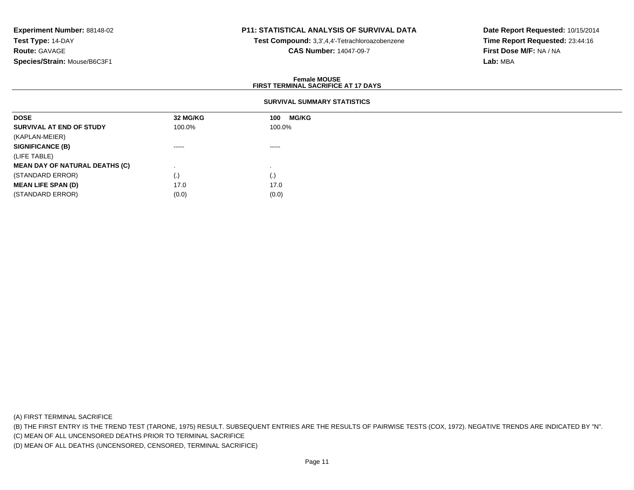# **P11: STATISTICAL ANALYSIS OF SURVIVAL DATA**

**Test Compound:** 3,3',4,4'-Tetrachloroazobenzene**CAS Number:** 14047-09-7

**Date Report Requested:** 10/15/2014**Time Report Requested:** 23:44:16**First Dose M/F:** NA / NA**Lab:** MBA

### **Female MOUSEFIRST TERMINAL SACRIFICE AT 17 DAYS**

### **SURVIVAL SUMMARY STATISTICS**

| <b>DOSE</b>                           | 32 MG/KG               | <b>MG/KG</b><br>100 |
|---------------------------------------|------------------------|---------------------|
| SURVIVAL AT END OF STUDY              | 100.0%                 | 100.0%              |
| (KAPLAN-MEIER)                        |                        |                     |
| <b>SIGNIFICANCE (B)</b>               | -----                  | $- - - - -$         |
| (LIFE TABLE)                          |                        |                     |
| <b>MEAN DAY OF NATURAL DEATHS (C)</b> |                        |                     |
| (STANDARD ERROR)                      | $\left( \cdot \right)$ | (.)                 |
| <b>MEAN LIFE SPAN (D)</b>             | 17.0                   | 17.0                |
| (STANDARD ERROR)                      | (0.0)                  | (0.0)               |

(A) FIRST TERMINAL SACRIFICE

(B) THE FIRST ENTRY IS THE TREND TEST (TARONE, 1975) RESULT. SUBSEQUENT ENTRIES ARE THE RESULTS OF PAIRWISE TESTS (COX, 1972). NEGATIVE TRENDS ARE INDICATED BY "N".

(C) MEAN OF ALL UNCENSORED DEATHS PRIOR TO TERMINAL SACRIFICE